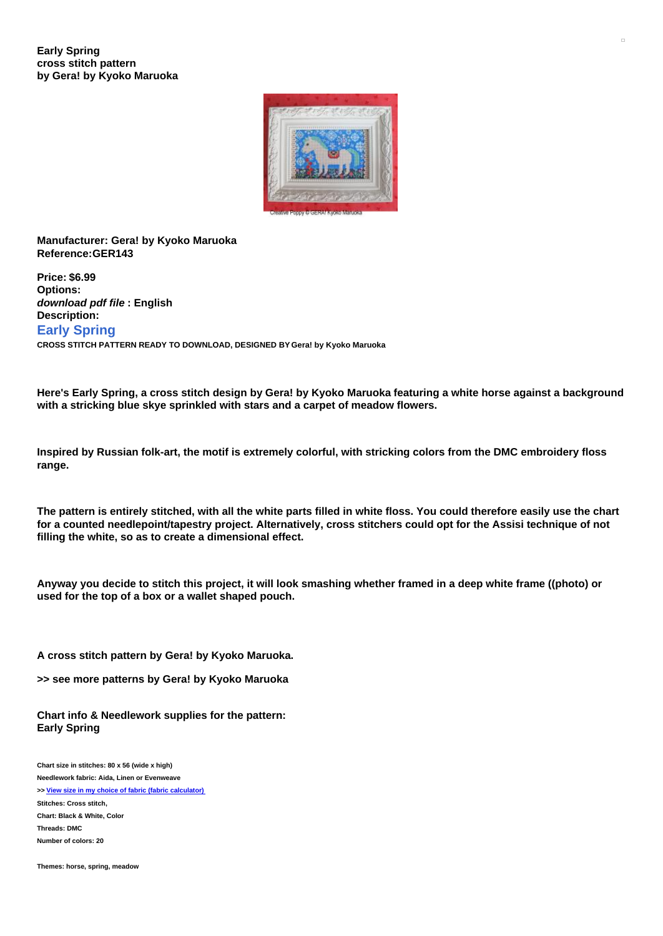

## **Manufacturer: Gera! by Kyoko Maruoka Reference:GER143**

**Price: \$6.99 Options:** *download pdf file* **: English Description: Early Spring CROSS STITCH PATTERN READY TO DOWNLOAD, DESIGNED BY Gera! by Kyoko Maruoka**

Here's Early Spring, a cross stitch design by Gera! by Kyoko Maruoka featuring a white horse against a background **with a stricking blue skye sprinkled with stars and a carpet of meadow flowers.**

Inspired by Russian folk-art, the motif is extremely colorful, with stricking colors from the DMC embroidery floss **range.**

The pattern is entirely stitched, with all the white parts filled in white floss. You could therefore easily use the chart for a counted needlepoint/tapestry project. Alternatively, cross stitchers could opt for the Assisi technique of not **filling the white, so as to create a dimensional effect.**

Anyway you decide to stitch this project, it will look smashing whether framed in a deep white frame ((photo) or **used for the top of a box or a wallet shaped pouch.**

**A cross stitch pattern by Gera! by Kyoko Maruoka.**

**>> see more patterns by Gera! by Kyoko Maruoka**

**Chart info & Needlework supplies for the pattern: Early Spring**

**Chart size in stitches: 80 x 56 (wide x high) Needlework fabric: Aida, Linen or Evenweave >> View size in my choice of fabric (fabric [calculator\)](https://www.creativepoppypatterns.com/calculette-de-toile.php?products_id=3009&w=80&h=56) Stitches: Cross stitch, Chart: Black & White, Color Threads: DMC Number of colors: 20**

**Themes: horse, spring, meadow**